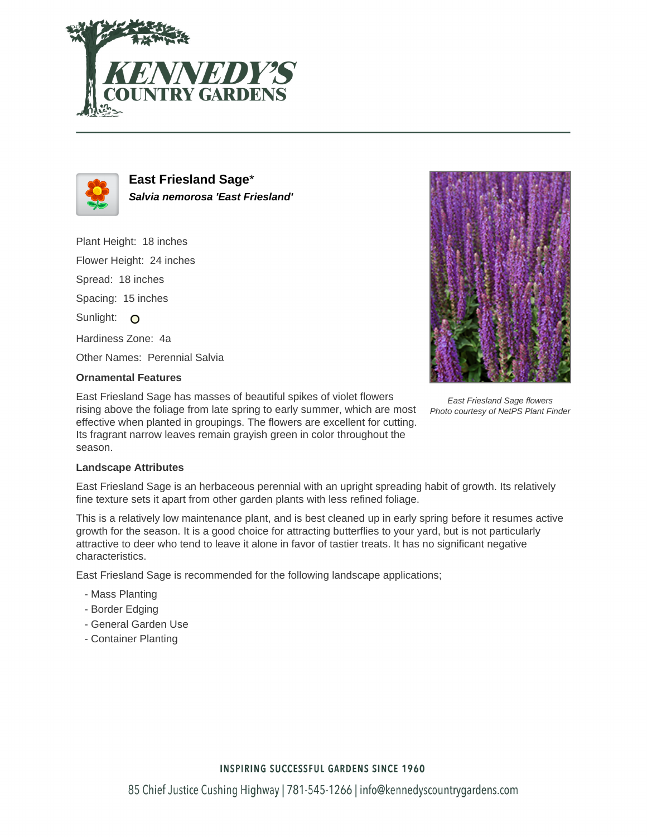



**East Friesland Sage**\* **Salvia nemorosa 'East Friesland'**

Plant Height: 18 inches Flower Height: 24 inches Spread: 18 inches Spacing: 15 inches Sunlight: O Hardiness Zone: 4a Other Names: Perennial Salvia



## **Ornamental Features**

East Friesland Sage has masses of beautiful spikes of violet flowers rising above the foliage from late spring to early summer, which are most effective when planted in groupings. The flowers are excellent for cutting. Its fragrant narrow leaves remain grayish green in color throughout the season.

East Friesland Sage flowers Photo courtesy of NetPS Plant Finder

## **Landscape Attributes**

East Friesland Sage is an herbaceous perennial with an upright spreading habit of growth. Its relatively fine texture sets it apart from other garden plants with less refined foliage.

This is a relatively low maintenance plant, and is best cleaned up in early spring before it resumes active growth for the season. It is a good choice for attracting butterflies to your yard, but is not particularly attractive to deer who tend to leave it alone in favor of tastier treats. It has no significant negative characteristics.

East Friesland Sage is recommended for the following landscape applications;

- Mass Planting
- Border Edging
- General Garden Use
- Container Planting

**INSPIRING SUCCESSFUL GARDENS SINCE 1960**